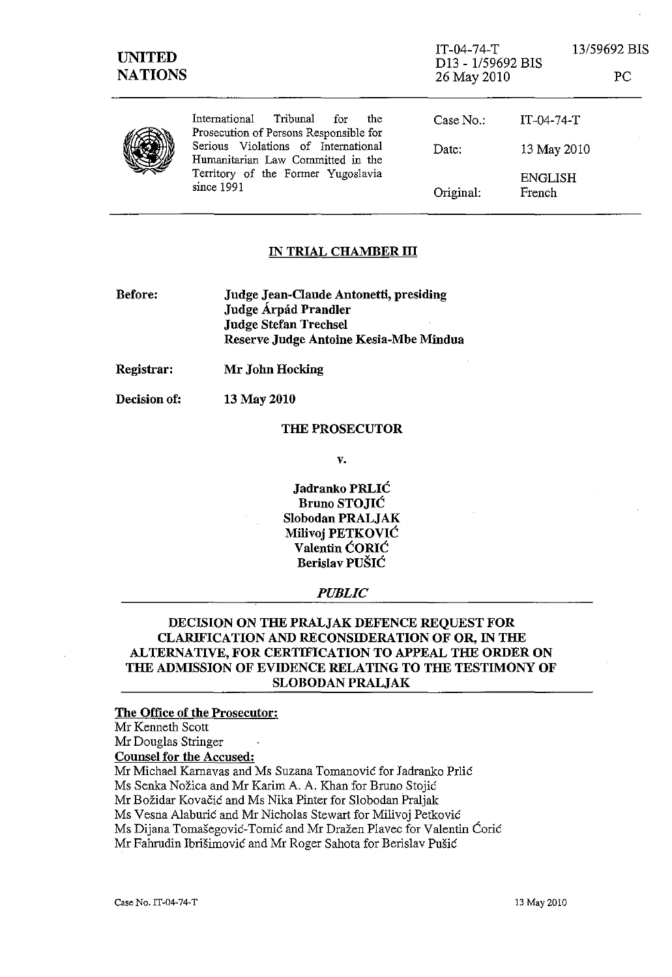| UNITED<br><b>NATIONS</b> |                                                                                                                                                                                                                   | $IT-04-74-T$<br>D13 - 1/59692 BIS<br>26 May 2010 |                          | 13/59692 BIS<br>РC |
|--------------------------|-------------------------------------------------------------------------------------------------------------------------------------------------------------------------------------------------------------------|--------------------------------------------------|--------------------------|--------------------|
|                          | Tribunal<br>International<br>for<br>the<br>Prosecution of Persons Responsible for<br>Serious Violations of International<br>Humanitarian Law Committed in the<br>Territory of the Former Yugoslavia<br>since 1991 | Case No.                                         | $IT-04-74-T$             |                    |
|                          |                                                                                                                                                                                                                   | Date:                                            | 13 May 2010              |                    |
|                          |                                                                                                                                                                                                                   | Original:                                        | <b>ENGLISH</b><br>French |                    |

## IN TRIAL CHAMBER **III**

| Before: | Judge Jean-Claude Antonetti, presiding |
|---------|----------------------------------------|
|         | Judge Árpád Prandler                   |
|         | <b>Judge Stefan Trechsel</b>           |
|         | Reserve Judge Antoine Kesia-Mbe Mindua |

Registrar: Mr John Hocking

Decision of: 13 May 2010

#### THE PROSECUTOR

v.

Jadranko PRLIC Bruno STOJIC Slobodan PRALJAK MiIivoj PETKOVIC Valentin CORIC Berislav PUŠIĆ

### *PUBLIC*

# DECISION ON THE PRALJAK DEFENCE REQUEST FOR CLARIFICATION AND RECONSIDERATION OF OR, IN THE ALTERNATIVE, FOR CERTIFICATION TO APPEAL THE ORDER ON THE ADMISSION OF EVIDENCE RELATING TO THE TESTIMONY OF SLOBODAN PRALJAK

## The Office of the Prosecutor:

Mr Kenneth Scott

Mr Douglas Stringer

Counsel for the Accused:

Mr Michael Karnavas and Ms Suzana Tomanovic for Iadranko Prlic

Ms Senka Nozica and Mr Karim A. A. Khan for Bruno Stojic

Mr Bozidar Kovacic and Ms Nika Pinter for Slobodan Praljak

Ms Vesna AIaburic and Mr Nicholas Stewart for Milivoj Petkovie

Ms Dijana Tomašegović-Tomić and Mr Dražen Plavec for Valentin Ćorić

Mr Fahrudin Ibrišimović and Mr Roger Sahota for Berislav Pušić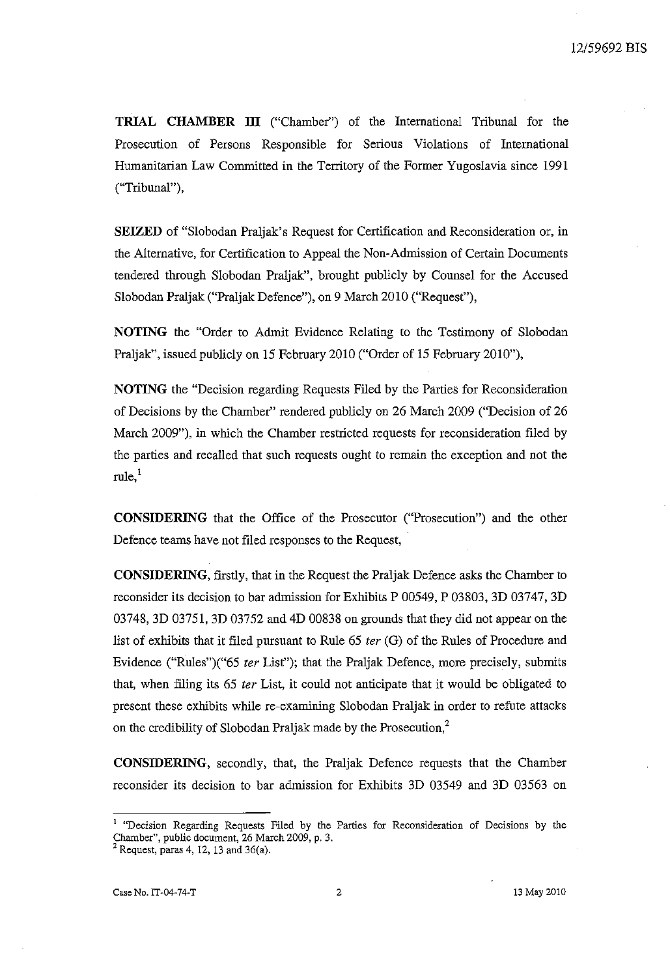TRIAL CHAMBER **III** ("Chamber") of the International Tribunal for the Prosecution of Persons Responsible for Serious Violations of International Humanitarian Law Committed in the Territory of the Former Yugoslavia since 1991 ("Tribunal"),

SEIZED of "Slobodan Praljak's Request for Certification and Reconsideration or, in the Alternative, for Certification to Appeal the Non-Admission of Certain Documents tendered through Slobodan Praljak", brought publicly by Counsel for the Accused Slobodan Praljak ("Praljak Defence"), on 9 March 2010 ("Request"),

NOTING the "Order to Admit Evidence Relating to the Testimony of Slobodan Praljak", issued publicly on 15 February 2010 ("Order of 15 February 2010"),

NOTING the "Decision regarding Requests Filed by the Parties for Reconsideration of Decisions by the Chamber" rendered publicly on 26 March 2009 ("Decision of 26 March 2009"), in which the Chamber restricted requests for reconsideration filed by the parties and recalled that such requests ought to remain the exception and not the  $rule<sub>1</sub>$ <sup>1</sup>

CONSIDERING that the Office of the Prosecutor ("Prosecution") and the other Defence teams have not filed responses to the Request,

CONSIDERING, firstly, that in the Request the Praljak Defence asks the Chamber to reconsider its decision to bar admission for Exhibits P 00549, P 03803, 3D 03747, 3D 03748, 3D 03751, 3D 03752 and 4D 00838 on grounds that they did not appear on the list of exhibits that it filed pursuant to Rule 65 ter (G) of the Rules of Procedure and Evidence ("Rules")("65 fer List"); that the Praljak Defence, more precisely, submits that, when filing its 65 fer List, it could not anticipate that it would be obligated to present these exhibits while re-examining Slobodan Praljak in order to refute attacks on the credibility of Slobodan Praljak made by the Prosecution,<sup>2</sup>

CONSIDERING, secondly, that, the Praljak Defence requests that the Chamber reconsider its decision to bar admission for Exhibits 3D 03549 and 3D 03563 on

**<sup>1</sup>"Decision Regarding Requests Filed by the Parties for Reconsideration of Decisions by the**  Chamber", public document, 26 March 2009, p. 3.

 $2$  Request, paras 4, 12, 13 and 36(a).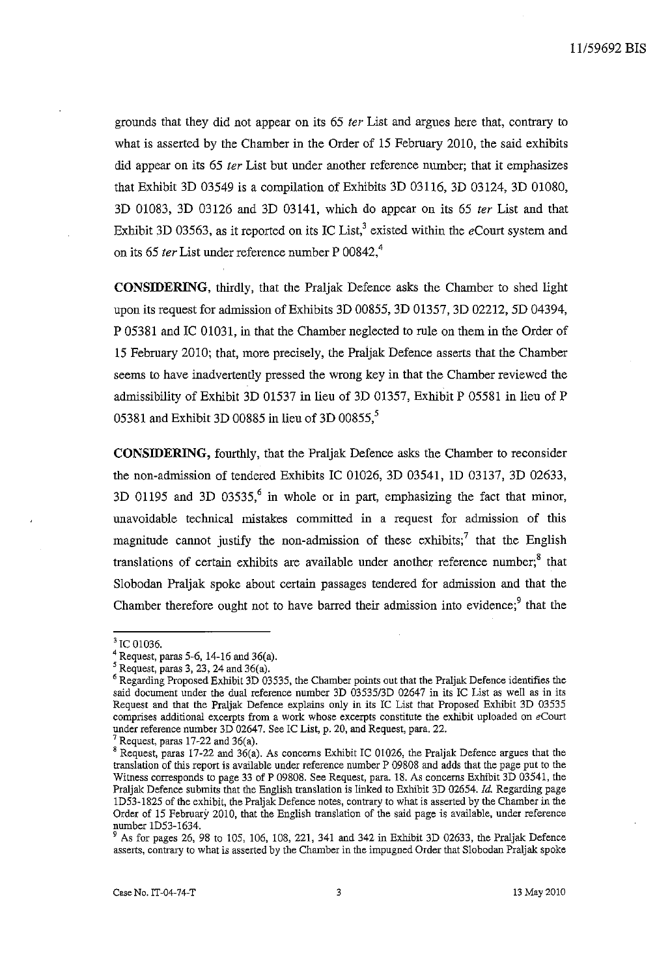grounds that they did not appear on its 65 ter List and argues here that, contrary to what is asserted by the Chamber in the Order of 15 February 2010, the said exhibits did appear on its 65 ter List but under another reference number; that it emphasizes that Exhibit 3D 03549 is a compilation of Exhibits 3D 03116, 3D 03124, 3D 01080,  $3D$  01083,  $3D$  03126 and  $3D$  03141, which do appear on its 65 ter List and that Exhibit 3D 03563, as it reported on its IC List,<sup>3</sup> existed within the eCourt system and on its 65 ter List under reference number P 00842, $4$ 

**CONSIDERING,** thirdly, that the Praljak Defence asks the Chamber to shed light upon its request for admission of Exhibits 3D 00855, 3D 01357, 3D 02212, 5D 04394, P 05381 and lC 01031, in that the Chamber neglected to rule on them in the Order of 15 February 2010; that, more precisely, the Praljak Defence asserts that the Chamber seems to have inadvertently pressed the wrong key in that the Chamber reviewed the admissibility of Exhibit 3D 01537 in lieu of 3D 01357, Exhibit P 05581 in lieu of P 05381 and Exhibit 3D 00885 in lieu of 3D 00855, $\degree$ 

**CONSIDERING,** fourthly, that the Praljak Defence asks the Chamber to reconsider the non-admission of tendered Exhibits lC 01026, 3D 03541, ID 03137, 3D 02633, 3D 01195 and 3D 03535,<sup>6</sup> in whole or in part, emphasizing the fact that minor, unavoidable technical mistakes committed in a request for admission of this magnitude cannot justify the non-admission of these exhibits;<sup>7</sup> that the English translations of certain exhibits are available under another reference number; $<sup>8</sup>$  that</sup> Slobodan Praljak spoke about certain passages tendered for admission and that the Chamber therefore ought not to have barred their admission into evidence; $9$  that the

<sup>&</sup>lt;sup>3</sup> IC 01036.

<sup>4</sup> Request, paras 5-6, 14-16 and 36(a).

 $<sup>5</sup>$  Request, paras 3, 23, 24 and 36(a).</sup>

<sup>6</sup> Regarding Proposed Exhibit 3D 03535, the Chamber points out that the PraIjak Defence identifies the said document under the dual reference number 3D *03535/3D* 02647 in its IC List as well as in its Request and that the PraIjak Defence explains only in its IC List that Proposed Exhibit 3D 03535 **comprises additional excerpts from a work whose excerpts constitute the exhibit uploaded on eCourt**  under reference number 3D 02647. See IC List, p. 20, and Request, para. 22.

Request, paras  $17-22$  and  $36(a)$ .

<sup>8</sup> Request, paras 17-22 and 36(a). As concerns Exhibit IC 01026, the Praljak Defence argues that the translation of this report is available under reference number P 09808 and adds that the page put to the Witness corresponds to page 33 of P 09808. See Request, para. 18. As concerns Exhibit 3D 03541, the Praljak Defence submits that the English translation is linked to Exhibit 3D 02654. Id. Regarding page ID53-1825 of the exhibit, the PraIjak Defence notes, contrary to what is asserted by the Chamber in the Order of IS February 2010, that the English translation of the said page is avallable, under reference number ID53-1634.

<sup>9</sup> As for pages 26, 98 to 105, 106, 108, 221, 341 and 342 in Exhibit 3D 02633, the PraIjak Defence asserts, contrary to what is asserted by the Chamber in the impugned Order that Slobodan PraIjak spoke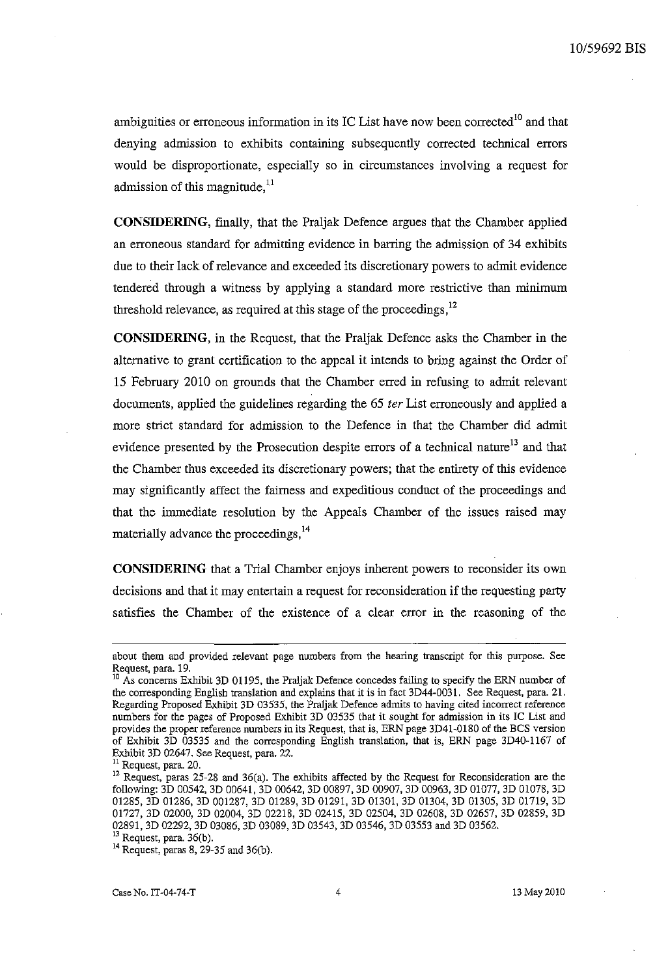ambiguities or erroneous information in its IC List have now been corrected<sup>10</sup> and that denying admission to exhibits containing subsequently corrected technical errors would be disproportionate, especially so in circumstances involving a request for admission of this magnitude, $^{11}$ 

**CONSIDERING,** finally, that the Praljak Defence argues that the Chamber applied an erroneous standard for admitting evidence in barring the admission of 34 exhibits due to their lack of relevance and exceeded its discretionary powers to admit evidence tendered through a witness by applying a standard more restrictive than minimum threshold relevance, as required at this stage of the proceedings,<sup>12</sup>

**CONSIDERING,** in the Request, that the Praljak Defence asks the Chamber in the alternative to grant certification to the appeal it intends to bring against the Order of 15 February 2010 on grounds that the Chamber erred in refusing to admit relevant documents, applied the guidelines regarding the 65 *ter* List erroneously and applied a more strict standard for admission to the Defence in that the Chamber did admit evidence presented by the Prosecution despite errors of a technical nature<sup>13</sup> and that the Chamber thus exceeded its discretionary powers; that the entirety of this evidence may significantly affect the fairness and expeditious conduct of the proceedings and that the immediate resolution by the Appeals Chamber of the issues raised may materially advance the proceedings, <sup>14</sup>

**CONSIDERING** that a Trial Chamber enjoys inherent powers to reconsider its own decisions and that it may entertain a request for reconsideration if the requesting party satisfies the Chamber of the existence of a clear error in the reasoning of the

**about them and provided relevant page numbers from the hearing transcript for this purpose. See**  Request, para. 19.

<sup>&</sup>lt;sup>10</sup> As concerns Exhibit 3D 01195, the Praljak Defence concedes failing to specify the ERN number of the corresponding English translation and explains that it is in fact 3D44-0031. See Request, para. 21. Regarding Proposed Exhibit 3D 03535, the Praljak Defence admits to having cited incorrect reference numbers for the pages of Proposed Exhibit 3D 03535 that it sought for admission in its IC List and **provides the proper reference numbers in its Request, that is, ERN page 3D41-0180 of the BCS version**  of Exhibit 3D 03535 and the corresponding English translation, that is, ERN page 3D40-1167 of Exhibit 3D 02647. See Request, para. 22.

**<sup>11</sup> Request, para. 20.** 

<sup>&</sup>lt;sup>12</sup> Request, paras 25-28 and 36(a). The exhibits affected by the Request for Reconsideration are the following: 3D 00542, 3D 00641, 3D 00642, 3D 00897, 3D 00907, 3D 00963, 3D 01077, 3D 01078, 3D 01285, 3D 01286, 3D 001287, 3D 01289, 3D 01291, 3D 01301, 3D 01304, 3D 01305, 3D O! 719, 3D 01727, 3D 02000, 3D 02004, 3D 02218, 3D 02415, 3D 02504, 3D 02608, 3D 02657, 3D 02859, 3D 02891, 3D 02292, 3D 03086, 3D 03089, 3D 03543, 3D 03546, 3D 03553 and 3D 03562.

 $^{13}$  Request, para. 36(b).

<sup>&</sup>lt;sup>14</sup> Request, paras 8, 29-35 and 36(b).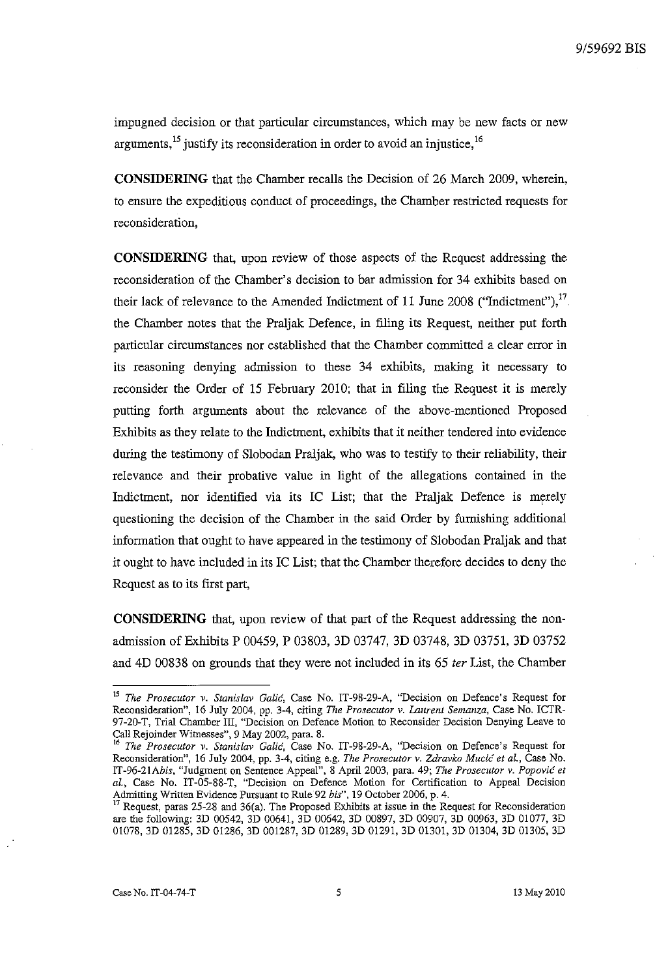impugned decision or that particular circumstances, which may be new facts or new arguments,  $^{15}$  justify its reconsideration in order to avoid an injustice,  $^{16}$ 

**CONSIDERING** that the Chamber recalls the Decision of 26 March 2009, wherein, to ensure the expeditious conduct of proceedings, the Chamber restricted requests for reconsideration,

**CONSIDERING** that, upon review of those aspects of the Request addressing the reconsideration of the Chamber's decision to bar admission for 34 exhibits based on their lack of relevance to the Amended Indictment of 11 June 2008 ("Indictment"), $^{17}$ . the Chamber notes that the Praljak Defence, in ftling its Request, neither put forth particular circumstances nor established that the Chamber committed a clear error in its reasoning denying admission to these 34 exhibits, making it necessary to reconsider the Order of 15 February 2010; that in filing the Request it is merely putting forth arguments about the relevance of the above-mentioned Proposed Exhibits as they relate to the Indictment, exhibits that it neither tendered into evidence during the testimony of Slobodan Praljak, who was to testify to their reliability, their relevance and their probative value in light of the allegations contained in the Indictment, nor identified via its IC List; that the Praljak Defence is merely questioning the decision of the Chamber in the said Order by furnishing additional information that ought to have appeared in the testimony of Slobodan Praljak and that it ought to have included in its IC List; that the Chamber therefore decides to deny the Request as to its first part,

**CONSIDERING** that, upon review of that part of the Request addressing the nonadmission of Exhibits P 00459, P 03803, 3D 03747, 3D 03748, 3D 03751, 3D 03752 and 4D 00838 on grounds that they were not included in its 65 *ter* List, the Chamber

*<sup>15</sup> The Prosecutor v. Stanislav* **Galic, Case No. IT-98-29-A, "Decision on Defence's Request for Reconsideration", 16 July 2004, pp. 3-4, citing** *The Prosecutor* **v.** *Laurent Semanza,* **Case No. ICTR-97-20-T, Trial Chamber Ill, "Decision on Defence Motion to Reconsider Decision Denying Leave to**  Call Rejoinder Witnesses", 9 May 2002, para. 8.

**<sup>16</sup>***The Prosecutor v. Stanislav* **Galic, Case No. IT-98-29-A, "Decision on Defence's Request for Reconsideration", 16 July 2004, pp. 3-4, citing e.g.** *The Prosecutor* **v.** *Zdravko Mucic et al.,* **Case No.**  *IT-96-2IAbis,* "Judgment on Sentence Appeal", 8 Apri12003, para. 49; *The Proseclttor* v. *Popovic et aI.,* Case No. IT-05-88-T, "Decision on Defence Motion for Certification to Appeal Decision Admitting Written Evidence Pursuant to Rule 92 *his",* 19 October 2006, p. 4.

 $17$  Request, paras 25-28 and 36(a). The Proposed Exhibits at issue in the Request for Reconsideration are the following: 3D 00542, 3D 00641, 3D 00642, 3D 00897, 3D 00907, 3D 00963, 3D 01077, 3D 01078, 3D 01285, 3D 01286, 3D 001287, 3D 01289, 3D 01291, 3D 01301, 3D 01304, 3D 01305, 3D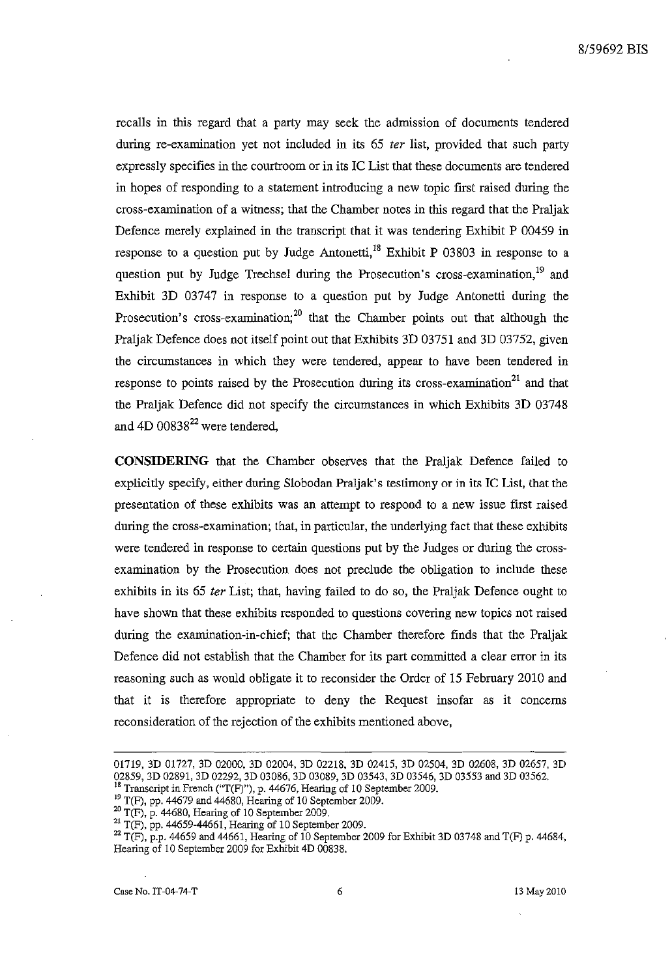recalls in this regard that a party may seek the admission of documents tendered during re-examination yet not included in its 65 *ter* list, provided that such party expressly specifies in the courtroom or in its lC List that these documents are tendered in hopes of responding to a statement introducing a new topic first raised during the cross-examination of a witness; that the Chamber notes in this regard that the Praljak Defence merely explained in the transcript that it was tendering Exhibit P 00459 in response to a question put by Judge Antonetti,<sup>18</sup> Exhibit P 03803 in response to a question put by Judge Trechsel during the Prosecution's cross-examination,<sup>19</sup> and Exhibit 3D 03747 in response to a question put by Judge Antonetti during the Prosecution's cross-examination;<sup>20</sup> that the Chamber points out that although the Praljak Defence does not itself point out that Exhibits 3D 03751 and 3D 03752, given the circumstances in which they were tendered, appear to have been tendered in response to points raised by the Prosecution during its cross-examination<sup>21</sup> and that the Praljak Defence did not specify the circumstances in which Exhibits 3D 03748 and  $4D\ 00838^{22}$  were tendered,

**CONSIDERING** that the Chamber observes that the Praljak Defence failed to explicitly specify, either during Slobodan Praljak's testimony or in its IC List, that the presentation of these exhibits was an attempt to respond to a new issue first raised during the cross-examination; that, in particular, the underlying fact that these exhibits were tendered in response to certain questions put by the Judges or during the crossexamination by the Prosecution does not preclude the obligation to include these exhibits in its 65 *ter* List; that, having failed to do so, the Praljak Defence ought to have shown that these exhibits responded to questions covering new topics not raised during the examination-in-chief; that the Chamber therefore finds that the Praljak Defence did not establish that the Chamber for its part committed a clear error in its reasoning such as would obligate it to reconsider the Order of 15 February 2010 and that it is therefore appropriate to deny the Request insofar as it concerns reconsideration of the rejection of the exhibits mentioned above,

<sup>01719, 3</sup>D 01727, 3D 02000, 3D 02004, 3D 02218, 3D 02415, 3D 02504, 3D 02608, 3D 02657, 3D 02859, 3D 02891, 3D 02292, 3D 03086, 3D 03089, 3D 03543, 3D 03546, 3D 03553 and 3D 03562.

<sup>&</sup>lt;sup>18</sup> Transcript in French ("T(F)"), p. 44676. Hearing of 10 September 2009.  $\frac{19}{15}$  T(F), pp. 44679 and 44680, Hearing of 10 September 2009.

 $^{20}$  T(F), p. 44680, Hearing of 10 September 2009.

<sup>&</sup>lt;sup>21</sup> T(F), pp. 44659-44661, Hearing of 10 September 2009.

 $^{22}$  T(F), p.p. 44659 and 44661, Hearing of 10 September 2009 for Exhibit 3D 03748 and T(F) p. 44684, Hearing of 10 September 2009 for Exhibit 4D 00838.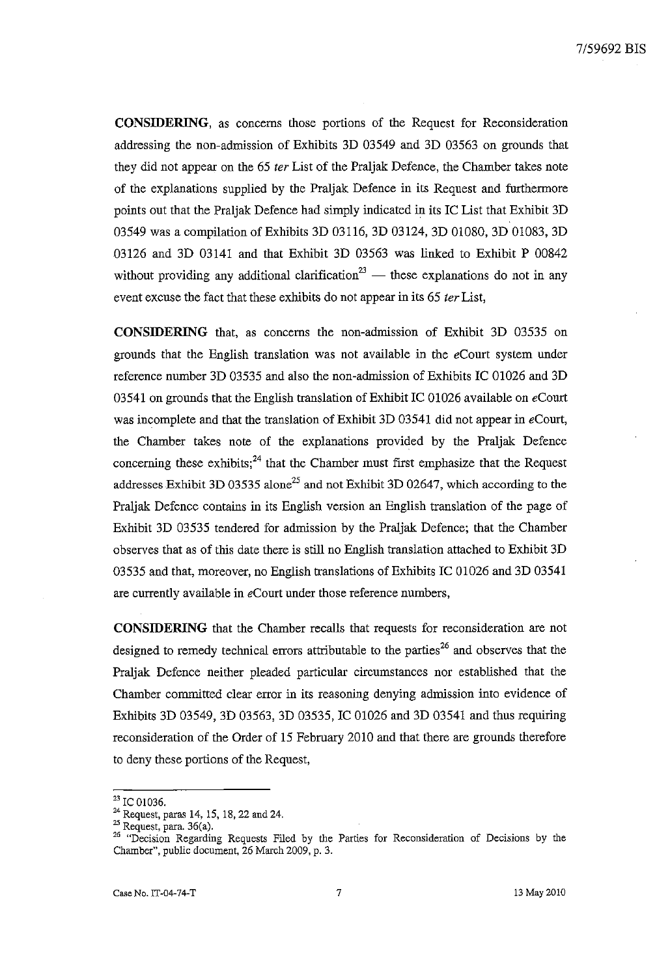**CONSIDERING,** as concerns those portions of the Request for Reconsideration addressing the non-admission of Exhibits 3D 03549 and 3D 03563 on grounds that they did not appear on the 65 *ter* List of the Praljak Defence, the Chamber takes note of the explanations supplied by the Praljak Defence in its Request and furthermore points out that the Praljak Defence had simply indicated in its IC List that Exhibit 3D 03549 was a compilation of Exhibits 3D 03116, 3D 03124, 3D 01080, 3D 01083, 3D 03126 and 3D 03141 and that Exhibit 3D 03563 was linked to Exhibit P 00842 without providing any additional clarification<sup>23</sup> - these explanations do not in any event excuse the fact that these exhibits do not appear in its 65 *ter* List,

**CONSIDERING** that, as concerns the non-admission of Exhibit 3D 03535 on grounds that the English translation was not available in the *eCourt* system under reference number 3D 03535 and also the non-admission of Exhibits IC 01026 and 3D 03541 on grounds that the English translation of Exhibit IC 01026 available on *eCourt* was incomplete and that the translation of Exhibit 3D 03541 did not appear in *eCourt,*  the Chamber takes note of the explanations provided by the Praljak Defence concerning these exhibits;<sup>24</sup> that the Chamber must first emphasize that the Request addresses Exhibit 3D 03535 alone<sup>25</sup> and not Exhibit 3D 02647, which according to the Praljak Defence contains in its English version an English translation of the page of Exhibit 3D 03535 tendered for admission by the Praljak Defence; that the Chamber observes that as of this date there is still no English translation attached to Exhibit 3D 03535 and that, moreover, no English translations of Exhibits IC 01026 and 3D 03541 are currently available in *eCourt* under those reference numbers,

**CONSIDERING** that the Chamber recalls that requests for reconsideration are not designed to remedy technical errors attributable to the parties<sup>26</sup> and observes that the Praljak Defence neither pleaded particular circumstances nor established that the Chamber committed clear error in its reasoning denying admission into evidence of Exhibits 3D 03549, 3D 03563, 3D 03535, IC 01026 and 3D 03541 and thus requiring reconsideration of the Order of 15 February 2010 and that there are grounds therefore to deny these portions of the Request,

<sup>23</sup> IC 01036.

<sup>&</sup>lt;sup>24</sup> Request, paras 14, 15, 18, 22 and 24.

<sup>&</sup>lt;sup>25</sup> Request, para. 36(a).

**<sup>26 &</sup>quot;Decision Regarding Requests Filed by the Parties for Reconsideration of Decisions by the**  Chamber", public document, 26 March 2009, p. 3.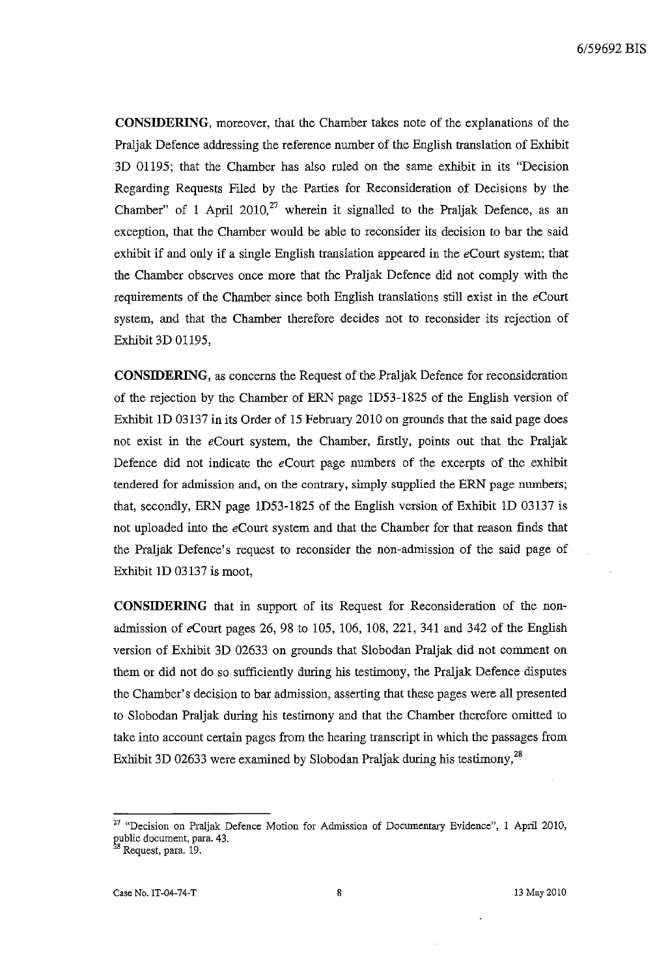**CONSIDERING,** moreover, that the Chamber takes note of the explanations of the Praljak Defence addressing the reference number of the English translation of Exhibit 3D 01195; that the Chamber has also ruled on the same exhibit in its "Decision Regarding Requests Filed by the Parties for Reconsideration of Decisions by the Chamber" of 1 April 2010,<sup>27</sup> wherein it signalled to the Praljak Defence, as an exception, that the Chamber would be able to reconsider its decision to bar the said exhibit if and only if a single English translation appeared in the *eCourt* system; that the Chamber observes once more that the Praljak Defence did not comply with the requirements of the Chamber since both English translations still exist in the *eCourt*  system, and that the Chamber therefore decides not to reconsider its rejection of Exhibit 3D 01195,

**CONSIDERING,** as concerns the Request of the Praljak Defence for reconsideration of the rejection by the Chamber of ERN page ID53-1825 of the English version of Exhibit ID 03137 in its Order of 15 February 2010 on grounds that the said page does not exist in the *eCourt* system, the Chamber, firstly, points out that the Praljak Defence did not indicate the *eCourt* page numbers of the excerpts of the exhibit tendered for admission and, on the contrary, simply supplied the ERN page numbers; that, secondly, ERN page ID53-1825 of the English version of Exhibit ID 03137 is not uploaded into the *eCourt* system and that the Chamber for that reason finds that the Praljak Defence's request to reconsider the non-admission of the said page of Exhibit ID 03137 is moot,

**CONSIDERING** that in support of its Request for Reconsideration of the nonadmission of eCourt pages 26, 98 to 105, 106, 108, 221, 341 and 342 of the English version of Exhibit 3D 02633 on grounds that Slobodan Praljak did not comment on them or did not do so sufficiently during his testimony, the Praljak Defence disputes the Chamber's decision to bar admission, asserting that these pages were all presented to Slobodan Praljak during his testimony and that the Chamber therefore omitted to take into account certain pages from the hearing transcript in which the passages from Exhibit 3D 02633 were examined by Slobodan Praljak during his testimony,<sup>28</sup>

**<sup>27 &</sup>quot;Decision on Praljak Defence Motion for Admission of Documentary Evidence", 1 April 2010,**  public document, para. 43.

<sup>&</sup>lt;sup>28</sup> Request, para. 19.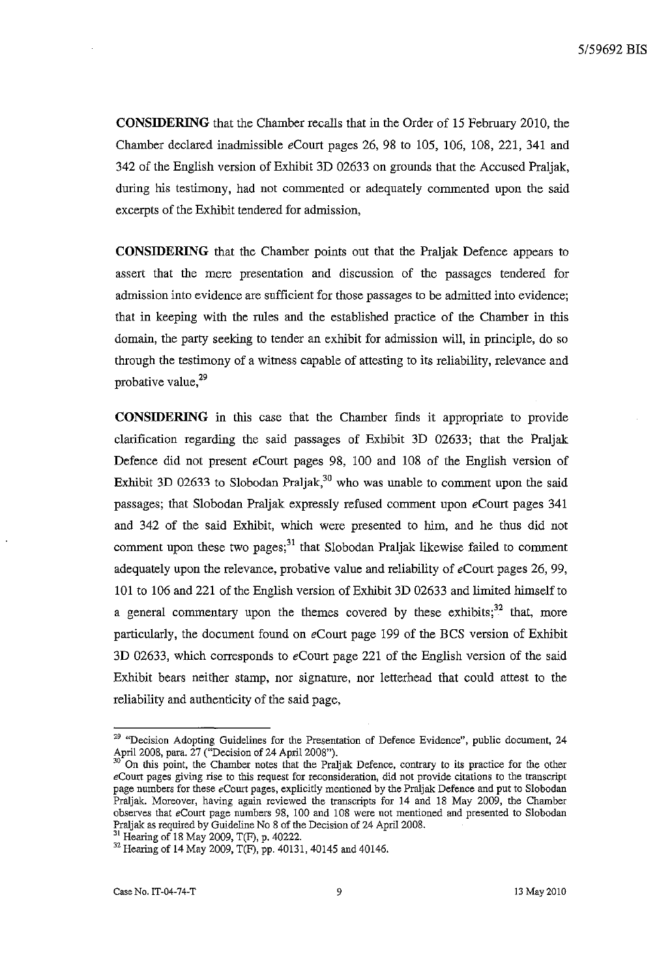**CONSIDERING** that the Chamber recalls that in the Order of 15 February 2010, the Chamber declared inadmissible eCourt pages 26, 98 to 105, 106, 108, 221, 341 and 342 of the English version of Exhibit 3D 02633 on grounds that the Accused Praljak, during his testimony, had not commented or adequately commented upon the said excerpts of the Exhibit tendered for admission,

**CONSIDERING** that the Chamber points out that the Praljak Defence appears to assert that the mere presentation and discussion of the passages tendered for admission into evidence are sufficient for those passages to be admitted into evidence; that in keeping with the rules and the established practice of the Chamber in this domain, the party seeking to tender an exhibit for admission will, in principle, do so through the testimony of a witness capable of attesting to its reliability, relevance and probative value, $29$ 

**CONSIDERING** in this case that the Chamber finds it appropriate to provide clarification regarding the said passages of Exhibit 3D 02633; that the Praljak Defence did not present eCourt pages 98, 100 and 108 of the English version of Exhibit 3D 02633 to Slobodan Praljak,<sup>30</sup> who was unable to comment upon the said passages; that Slobodan Praljak expressly refused comment upon eCourt pages 341 and 342 of the said Exhibit, which were presented to him, and he thus did not comment upon these two pages; $31$  that Slobodan Praljak likewise failed to comment adequately upon the relevance, probative value and reliability of *eCourt* pages 26, 99, 10 1 to 106 and 221 of the English version of Exhibit 3D 02633 and limited himself to a general commentary upon the themes covered by these exhibits; $32$  that, more particularly, the document found on *eCourt* page 199 of the BCS version of Exhibit 3D 02633, which corresponds to *eCourt* page 221 of the English version of the said Exhibit bears neither stamp, nor signature, nor letterhead that could attest to the reliability and authenticity of the said page,

31 Hearing of 18 May 2009, T(F), p. 40222.

<sup>29</sup>**"Decision Adopting Guidelines for the Presentation of Defence Evidence", public document, 24**  April 2008, para. 27 ("Decision of 24 April 2008").

**<sup>30</sup> On this point, the Chamber notes that the Praljak Defence, contrary to its practice for the other**  *eCourt* **pages giving rise to this request for reconsideration, did not provide citations to the transcript**  page numbers for these eCourt pages, explicitly mentioned by the Praljak Defence and put to Slobodan Praljak. Moreover, having again reviewed the transcripts for 14 and 18 May 2009, the Chamber **observes that eCourt page numbers 98, 100 and 108 were not mentioned and presented to Slobodan**  Praljak as required by Guideline No 8 of the Decision of 24 April 2008.

<sup>&</sup>lt;sup>32</sup> Hearing of 14 May 2009, T(F), pp. 40131, 40145 and 40146.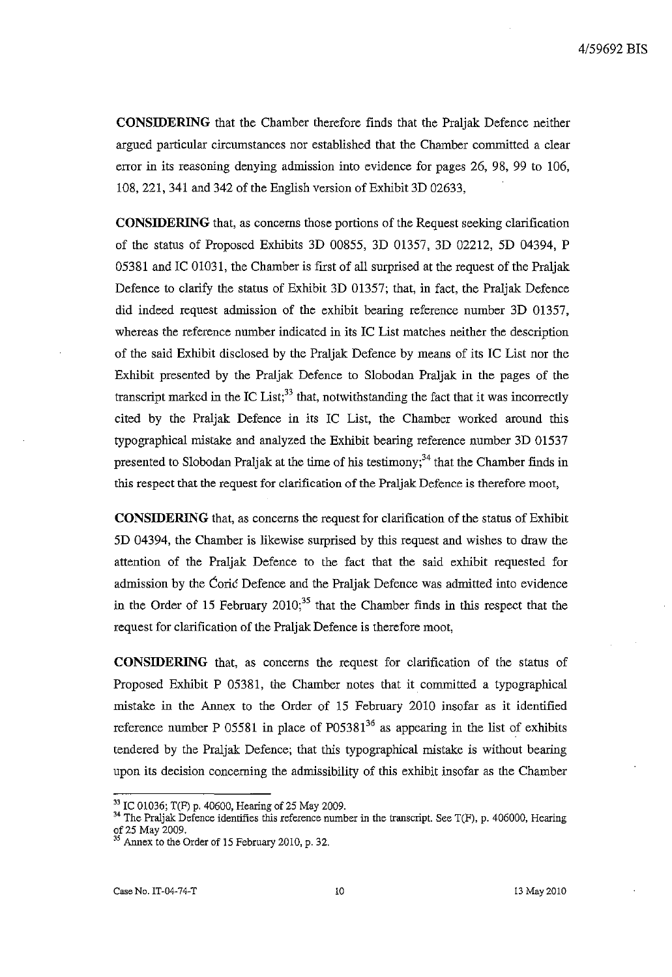**CONSIDERING** that the Chamber therefore finds that the Praljak Defence neither argued particular circumstances nor established that the Chamber committed a clear error in its reasoning denying admission into evidence for pages 26, 98, 99 to 106, 108,221,341 and 342 of the English version of Exhibit 3D 02633,

**CONSIDERING** that, as concerns those portions of the Request seeking clarification of the status of Proposed Exhibits 3D 00855, 3D 01357, 3D 02212, 5D 04394, P 05381 and IC 01031, the Chamber is first of all surprised at the request of the Praljak Defence to clarify the status of Exhibit 3D 01357; that, in fact, the Praljak Defence did indeed request admission of the exhibit bearing reference number 3D 01357, whereas the reference number indicated in its IC List matches neither the description of the said Exhibit disclosed by the Praljak Defence by means of its IC List nor the Exhibit presented by the Praljak Defence to Slobodan Praljak in the pages of the transcript marked in the IC List;<sup>33</sup> that, notwithstanding the fact that it was incorrectly cited by the Praljak Defence in its IC List, the Chamber worked around this typographical mistake and analyzed the Exhibit bearing reference number 3D 01537 presented to Slobodan Praljak at the time of his testimony;<sup>34</sup> that the Chamber finds in this respect that the request for clarification of the Pra1jak Defence is therefore moot,

**CONSIDERING** that, as concerns the request for clarification of the status of Exhibit 5D 04394, the Chamber is likewise surprised by this request and wishes to draw the attention of the Praljak Defence to the fact that the said exhibit requested for admission by the Coric Defence and the Praljak Defence was admitted into evidence in the Order of 15 February  $2010<sub>1</sub><sup>35</sup>$  that the Chamber finds in this respect that the request for clarification of the Praljak Defence is therefore moot,

**CONSIDERING** that, as concerns the request for clarification of the status of Proposed Exhibit P 05381, the Chamber notes that it committed a typographical mistake in the Annex to the Order of 15 February 2010 insofar as it identified reference number P 05581 in place of P05381 $36$  as appearing in the list of exhibits tendered by the Praljak Defence; that this typographical mistake is without bearing upon its decision concerning the admissibility of this exhibit insofar as the Chamber

<sup>&</sup>lt;sup>33</sup> IC 01036; T(F) p. 40600, Hearing of 25 May 2009.

<sup>&</sup>lt;sup>34</sup> The Praljak Defence identifies this reference number in the transcript. See T(F), p. 406000, Hearing of 25 May 2009.

Annex to the Order of 15 February 2010, p. 32.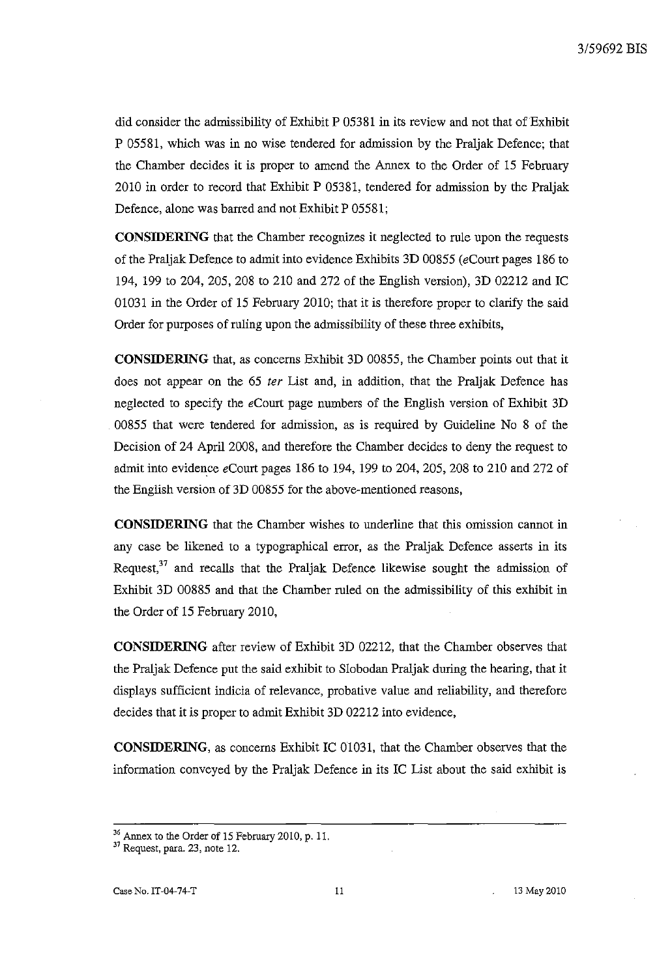did consider the admissibility of Exhibit P 05381 in its review and not that of Exhibit P 05581, which was in no wise tendered for admission by the Praijak Defence; that the Chamber decides it is proper to amend the Annex to the Order of 15 February 2010 in order to record that Exhibit P 05381, tendered for admission by the Praijak Defence, alone was barred and not Exhibit P 05581;

**CONSIDERING** that the Chamber recognizes it neglected to rule upon the requests of the Praijak Defence to admit into evidence Exhibits 3D 00855 (eCourt pages 186 to 194, 199 to 204, 205, 208 to 210 and 272 of the English version), 3D 02212 and **IC**  01031 in the Order of 15 February 2010; that it is therefore proper to clarify the said Order for purposes of ruling upon the admissibility of these three exhibits,

**CONSIDERING** that, as concerns Exhibit 3D 00855, the Chamber points out that it does not appear on the 65 *ter* List and, in addition, that the Praijak Defence has neglected to specify the eCourt page numbers of the English version of Exhibit 3D 00855 that were tendered for admission, as is required by Guideline No 8 of the Decision of 24 April 2008, and therefore the Chamber decides to deny the request to admit into evidence  $e$ Court pages 186 to 194, 199 to 204, 205, 208 to 210 and 272 of the English version of 3D 00855 for the above-mentioned reasons,

**CONSIDERING** that the Chamber wishes to underline that this omission cannot in any case be likened to a typographical error, as the Praijak Defence asserts in its Request, $37$  and recalls that the Praljak Defence likewise sought the admission of Exhibit 3D 00885 and that the Chamber ruled on the admissibility of this exhibit in the Order of 15 February 2010,

**CONSIDERING** after review of Exhibit 3D 02212, that the Chamber observes that the Praijak Defence put the said exhibit to Slobodan Praijak during the hearing, that it displays sufficient indicia of relevance, probative value and reliability, and therefore decides that it is proper to admit Exhibit 3D 02212 into evidence,

**CONSIDERING**, as concerns Exhibit IC 01031, that the Chamber observes that the information conveyed by the Praljak Defence in its IC List about the said exhibit is

<sup>&</sup>lt;sup>36</sup> Annex to the Order of 15 February 2010, p. 11.

<sup>37</sup> Request, para. 23, note 12.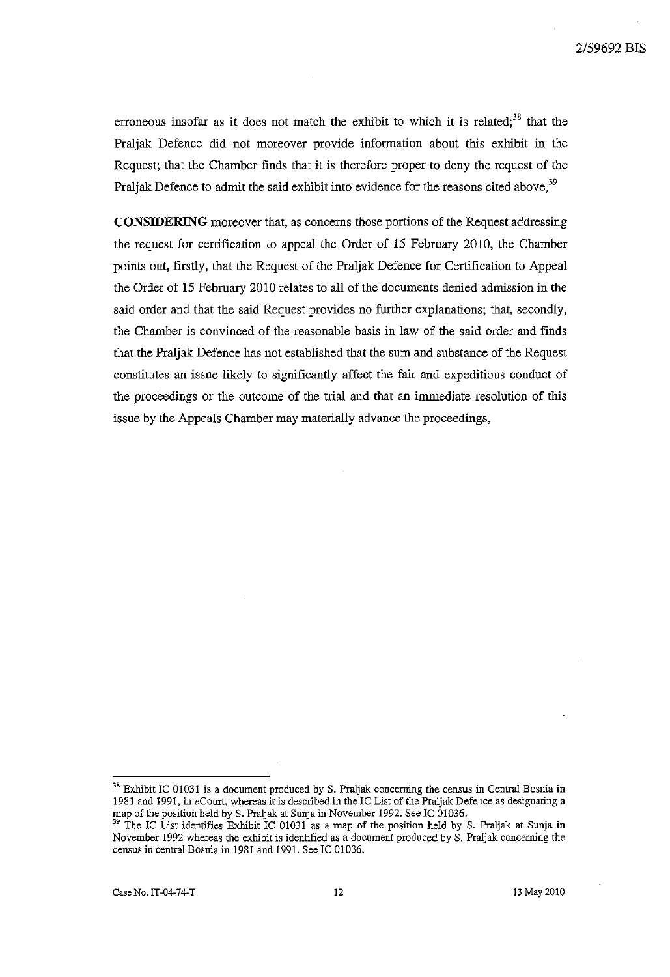erroneous insofar as it does not match the exhibit to which it is related;<sup>38</sup> that the Praljak Defence did not moreover provide information about this exhibit in the Request; that the Chamber finds that it is therefore proper to deny the request of the Praljak Defence to admit the said exhibit into evidence for the reasons cited above,<sup>39</sup>

**CONSIDERING** moreover that, as concerns those portions of the Request addressing the request for certification to appeal the Order of 15 February 2010, the Chamber points out, firstly, that the Request of the Praljak Defence for Certification to Appeal the Order of 15 February 2010 relates to all of the documents denied admission in the said order and that the said Request provides no further explanations; that, secondly, the Chamber is convinced of the reasonable basis in law of the said order and finds that the Praljak Defence has not established that the sum and substance of the Request constitutes an issue likely to significantly affect the fair and expeditious conduct of the proceedings or the outcome of the trial and that an immediate resolution of this issue by the Appeals Chamber may materially advance the proceedings,

<sup>&</sup>lt;sup>38</sup> Exhibit IC 01031 is a document produced by S. Praljak concerning the census in Central Bosnia in 1981 and 1991, in *eCourt,* whereas it is described in the IC List of the Praljak Defence as designating a map of the position held by S. Praljak at Sunja in November 1992. See IC 01036.

<sup>&</sup>lt;sup>39</sup> The IC List identifies Exhibit IC 01031 as a map of the position held by S. Praljak at Sunja in **November 1992 whereas the exhibit is identified as a document produced by S. Praljak concerning the**  census in central Bosnia in 1981 and 1991. See IC 01036.